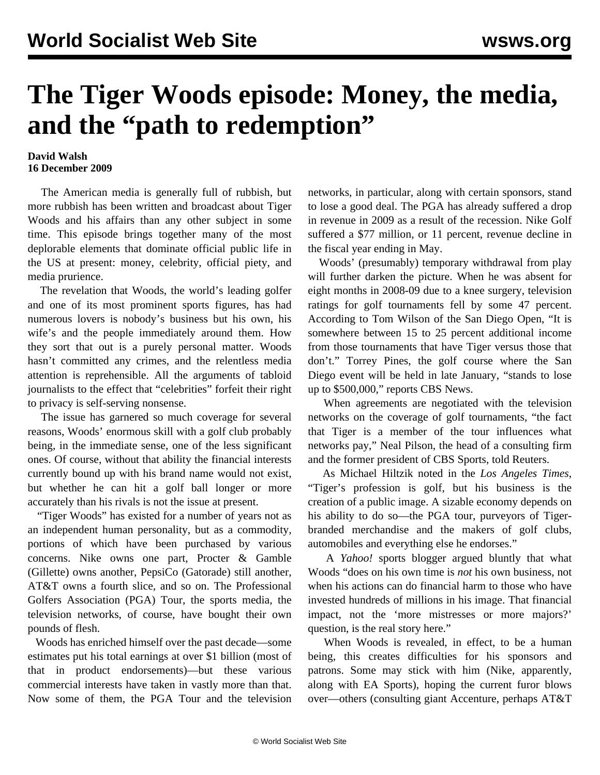## **The Tiger Woods episode: Money, the media, and the "path to redemption"**

## **David Walsh 16 December 2009**

 The American media is generally full of rubbish, but more rubbish has been written and broadcast about Tiger Woods and his affairs than any other subject in some time. This episode brings together many of the most deplorable elements that dominate official public life in the US at present: money, celebrity, official piety, and media prurience.

 The revelation that Woods, the world's leading golfer and one of its most prominent sports figures, has had numerous lovers is nobody's business but his own, his wife's and the people immediately around them. How they sort that out is a purely personal matter. Woods hasn't committed any crimes, and the relentless media attention is reprehensible. All the arguments of tabloid journalists to the effect that "celebrities" forfeit their right to privacy is self-serving nonsense.

 The issue has garnered so much coverage for several reasons, Woods' enormous skill with a golf club probably being, in the immediate sense, one of the less significant ones. Of course, without that ability the financial interests currently bound up with his brand name would not exist, but whether he can hit a golf ball longer or more accurately than his rivals is not the issue at present.

 "Tiger Woods" has existed for a number of years not as an independent human personality, but as a commodity, portions of which have been purchased by various concerns. Nike owns one part, Procter & Gamble (Gillette) owns another, PepsiCo (Gatorade) still another, AT&T owns a fourth slice, and so on. The Professional Golfers Association (PGA) Tour, the sports media, the television networks, of course, have bought their own pounds of flesh.

 Woods has enriched himself over the past decade—some estimates put his total earnings at over \$1 billion (most of that in product endorsements)—but these various commercial interests have taken in vastly more than that. Now some of them, the PGA Tour and the television

networks, in particular, along with certain sponsors, stand to lose a good deal. The PGA has already suffered a drop in revenue in 2009 as a result of the recession. Nike Golf suffered a \$77 million, or 11 percent, revenue decline in the fiscal year ending in May.

 Woods' (presumably) temporary withdrawal from play will further darken the picture. When he was absent for eight months in 2008-09 due to a knee surgery, television ratings for golf tournaments fell by some 47 percent. According to Tom Wilson of the San Diego Open, "It is somewhere between 15 to 25 percent additional income from those tournaments that have Tiger versus those that don't." Torrey Pines, the golf course where the San Diego event will be held in late January, "stands to lose up to \$500,000," reports CBS News.

 When agreements are negotiated with the television networks on the coverage of golf tournaments, "the fact that Tiger is a member of the tour influences what networks pay," Neal Pilson, the head of a consulting firm and the former president of CBS Sports, told Reuters.

 As Michael Hiltzik noted in the *Los Angeles Times*, "Tiger's profession is golf, but his business is the creation of a public image. A sizable economy depends on his ability to do so—the PGA tour, purveyors of Tigerbranded merchandise and the makers of golf clubs, automobiles and everything else he endorses."

 A *Yahoo!* sports blogger argued bluntly that what Woods "does on his own time is *not* his own business, not when his actions can do financial harm to those who have invested hundreds of millions in his image. That financial impact, not the 'more mistresses or more majors?' question, is the real story here."

 When Woods is revealed, in effect, to be a human being, this creates difficulties for his sponsors and patrons. Some may stick with him (Nike, apparently, along with EA Sports), hoping the current furor blows over—others (consulting giant Accenture, perhaps AT&T